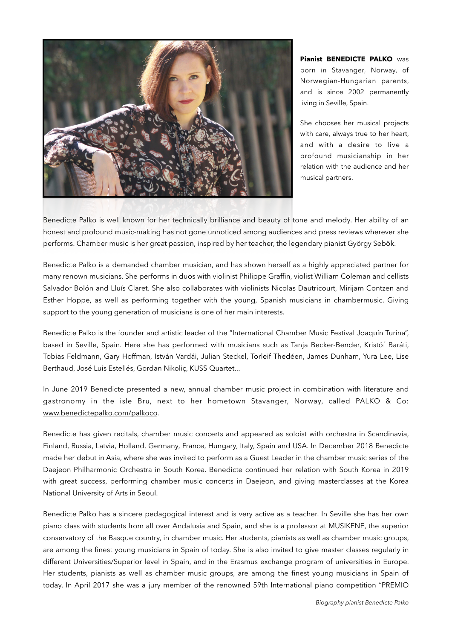

**Pianist BENEDICTE PALKO** was born in Stavanger, Norway, of Norwegian-Hungarian parents, and is since 2002 permanently living in Seville, Spain.

She chooses her musical projects with care, always true to her heart, and with a desire to live a profound musicianship in her relation with the audience and her musical partners.

Benedicte Palko is well known for her technically brilliance and beauty of tone and melody. Her ability of an honest and profound music-making has not gone unnoticed among audiences and press reviews wherever she performs. Chamber music is her great passion, inspired by her teacher, the legendary pianist György Sebök.

Benedicte Palko is a demanded chamber musician, and has shown herself as a highly appreciated partner for many renown musicians. She performs in duos with violinist Philippe Graffin, violist William Coleman and cellists Salvador Bolón and Lluís Claret. She also collaborates with violinists Nicolas Dautricourt, Mirijam Contzen and Esther Hoppe, as well as performing together with the young, Spanish musicians in chambermusic. Giving support to the young generation of musicians is one of her main interests.

Benedicte Palko is the founder and artistic leader of the "International Chamber Music Festival Joaquín Turina", based in Seville, Spain. Here she has performed with musicians such as Tanja Becker-Bender, Kristóf Baráti, Tobias Feldmann, Gary Hoffman, István Vardái, Julian Steckel, Torleif Thedéen, James Dunham, Yura Lee, Lise Berthaud, José Luis Estellés, Gordan Nikoliç, KUSS Quartet...

In June 2019 Benedicte presented a new, annual chamber music project in combination with literature and gastronomy in the isle Bru, next to her hometown Stavanger, Norway, called PALKO & Co: [www.benedictepalko.com/palkoco](http://www.benedictepalko.com/palkoco).

Benedicte has given recitals, chamber music concerts and appeared as soloist with orchestra in Scandinavia, Finland, Russia, Latvia, Holland, Germany, France, Hungary, Italy, Spain and USA. In December 2018 Benedicte made her debut in Asia, where she was invited to perform as a Guest Leader in the chamber music series of the Daejeon Philharmonic Orchestra in South Korea. Benedicte continued her relation with South Korea in 2019 with great success, performing chamber music concerts in Daejeon, and giving masterclasses at the Korea National University of Arts in Seoul.

Benedicte Palko has a sincere pedagogical interest and is very active as a teacher. In Seville she has her own piano class with students from all over Andalusia and Spain, and she is a professor at MUSIKENE, the superior conservatory of the Basque country, in chamber music. Her students, pianists as well as chamber music groups, are among the finest young musicians in Spain of today. She is also invited to give master classes regularly in different Universities/Superior level in Spain, and in the Erasmus exchange program of universities in Europe. Her students, pianists as well as chamber music groups, are among the finest young musicians in Spain of today. In April 2017 she was a jury member of the renowned 59th International piano competition "PREMIO